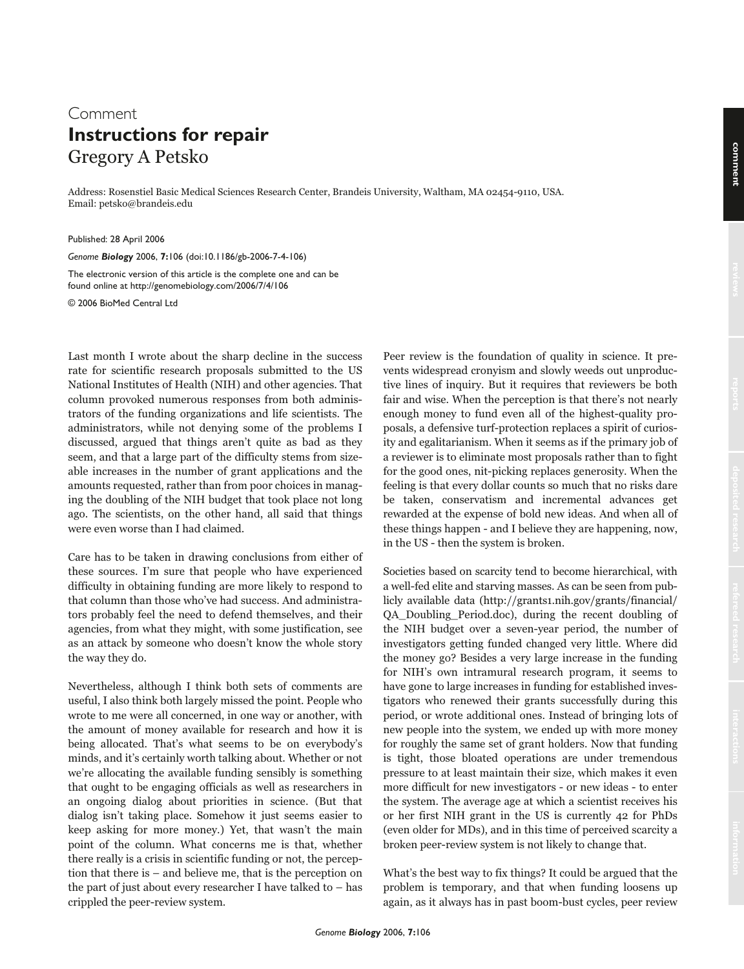## Comment **Instructions for repair** Gregory A Petsko

Address: Rosenstiel Basic Medical Sciences Research Center, Brandeis University, Waltham, MA 02454-9110, USA. Email: petsko@brandeis.edu

Published: 28 April 2006

*Genome Biology* 2006, **7:**106 (doi:10.1186/gb-2006-7-4-106)

The electronic version of this article is the complete one and can be found online at http://genomebiology.com/2006/7/4/106

© 2006 BioMed Central Ltd

Last month I wrote about the sharp decline in the success rate for scientific research proposals submitted to the US National Institutes of Health (NIH) and other agencies. That column provoked numerous responses from both administrators of the funding organizations and life scientists. The administrators, while not denying some of the problems I discussed, argued that things aren't quite as bad as they seem, and that a large part of the difficulty stems from sizeable increases in the number of grant applications and the amounts requested, rather than from poor choices in managing the doubling of the NIH budget that took place not long ago. The scientists, on the other hand, all said that things were even worse than I had claimed.

Care has to be taken in drawing conclusions from either of these sources. I'm sure that people who have experienced difficulty in obtaining funding are more likely to respond to that column than those who've had success. And administrators probably feel the need to defend themselves, and their agencies, from what they might, with some justification, see as an attack by someone who doesn't know the whole story the way they do.

Nevertheless, although I think both sets of comments are useful, I also think both largely missed the point. People who wrote to me were all concerned, in one way or another, with the amount of money available for research and how it is being allocated. That's what seems to be on everybody's minds, and it's certainly worth talking about. Whether or not we're allocating the available funding sensibly is something that ought to be engaging officials as well as researchers in an ongoing dialog about priorities in science. (But that dialog isn't taking place. Somehow it just seems easier to keep asking for more money.) Yet, that wasn't the main point of the column. What concerns me is that, whether there really is a crisis in scientific funding or not, the perception that there is – and believe me, that is the perception on the part of just about every researcher I have talked to  $-$  has crippled the peer-review system.

Peer review is the foundation of quality in science. It prevents widespread cronyism and slowly weeds out unproductive lines of inquiry. But it requires that reviewers be both fair and wise. When the perception is that there's not nearly enough money to fund even all of the highest-quality proposals, a defensive turf-protection replaces a spirit of curiosity and egalitarianism. When it seems as if the primary job of a reviewer is to eliminate most proposals rather than to fight for the good ones, nit-picking replaces generosity. When the feeling is that every dollar counts so much that no risks dare be taken, conservatism and incremental advances get rewarded at the expense of bold new ideas. And when all of these things happen - and I believe they are happening, now, in the US - then the system is broken.

Societies based on scarcity tend to become hierarchical, with a well-fed elite and starving masses. As can be seen from publicly available data (http://grants1.nih.gov/grants/financial/ QA\_Doubling\_Period.doc), during the recent doubling of the NIH budget over a seven-year period, the number of investigators getting funded changed very little. Where did the money go? Besides a very large increase in the funding for NIH's own intramural research program, it seems to have gone to large increases in funding for established investigators who renewed their grants successfully during this period, or wrote additional ones. Instead of bringing lots of new people into the system, we ended up with more money for roughly the same set of grant holders. Now that funding is tight, those bloated operations are under tremendous pressure to at least maintain their size, which makes it even more difficult for new investigators - or new ideas - to enter the system. The average age at which a scientist receives his or her first NIH grant in the US is currently 42 for PhDs (even older for MDs), and in this time of perceived scarcity a broken peer-review system is not likely to change that.

What's the best way to fix things? It could be argued that the problem is temporary, and that when funding loosens up again, as it always has in past boom-bust cycles, peer review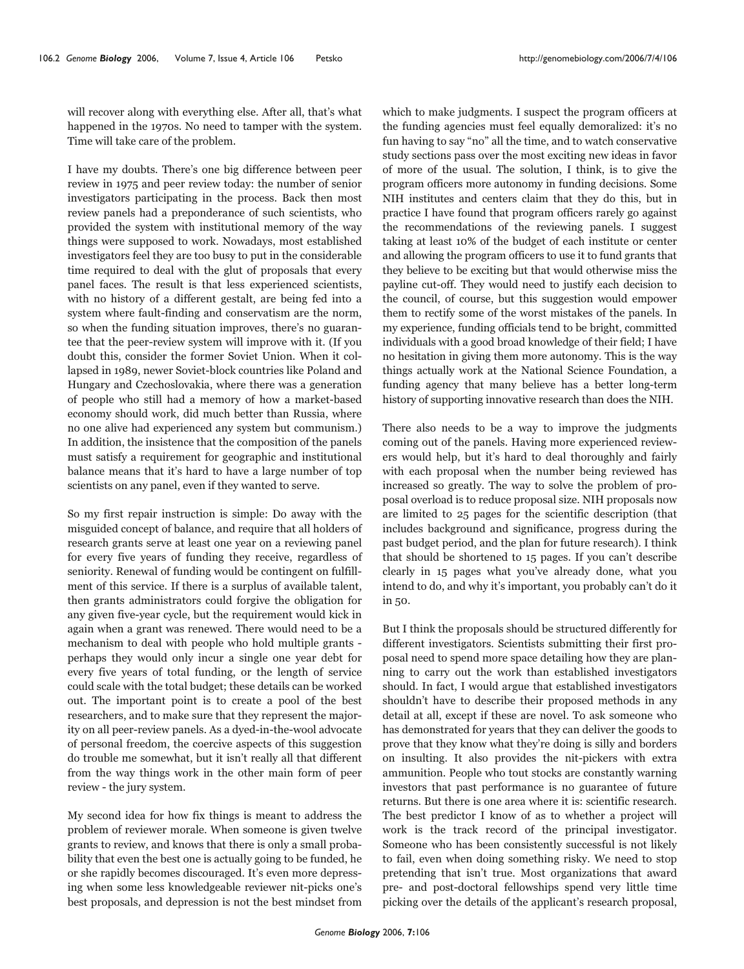will recover along with everything else. After all, that's what happened in the 1970s. No need to tamper with the system. Time will take care of the problem.

I have my doubts. There's one big difference between peer review in 1975 and peer review today: the number of senior investigators participating in the process. Back then most review panels had a preponderance of such scientists, who provided the system with institutional memory of the way things were supposed to work. Nowadays, most established investigators feel they are too busy to put in the considerable time required to deal with the glut of proposals that every panel faces. The result is that less experienced scientists, with no history of a different gestalt, are being fed into a system where fault-finding and conservatism are the norm, so when the funding situation improves, there's no guarantee that the peer-review system will improve with it. (If you doubt this, consider the former Soviet Union. When it collapsed in 1989, newer Soviet-block countries like Poland and Hungary and Czechoslovakia, where there was a generation of people who still had a memory of how a market-based economy should work, did much better than Russia, where no one alive had experienced any system but communism.) In addition, the insistence that the composition of the panels must satisfy a requirement for geographic and institutional balance means that it's hard to have a large number of top scientists on any panel, even if they wanted to serve.

So my first repair instruction is simple: Do away with the misguided concept of balance, and require that all holders of research grants serve at least one year on a reviewing panel for every five years of funding they receive, regardless of seniority. Renewal of funding would be contingent on fulfillment of this service. If there is a surplus of available talent, then grants administrators could forgive the obligation for any given five-year cycle, but the requirement would kick in again when a grant was renewed. There would need to be a mechanism to deal with people who hold multiple grants perhaps they would only incur a single one year debt for every five years of total funding, or the length of service could scale with the total budget; these details can be worked out. The important point is to create a pool of the best researchers, and to make sure that they represent the majority on all peer-review panels. As a dyed-in-the-wool advocate of personal freedom, the coercive aspects of this suggestion do trouble me somewhat, but it isn't really all that different from the way things work in the other main form of peer review - the jury system.

My second idea for how fix things is meant to address the problem of reviewer morale. When someone is given twelve grants to review, and knows that there is only a small probability that even the best one is actually going to be funded, he or she rapidly becomes discouraged. It's even more depressing when some less knowledgeable reviewer nit-picks one's best proposals, and depression is not the best mindset from

which to make judgments. I suspect the program officers at the funding agencies must feel equally demoralized: it's no fun having to say "no" all the time, and to watch conservative study sections pass over the most exciting new ideas in favor of more of the usual. The solution, I think, is to give the program officers more autonomy in funding decisions. Some NIH institutes and centers claim that they do this, but in practice I have found that program officers rarely go against the recommendations of the reviewing panels. I suggest taking at least 10% of the budget of each institute or center and allowing the program officers to use it to fund grants that they believe to be exciting but that would otherwise miss the payline cut-off. They would need to justify each decision to the council, of course, but this suggestion would empower them to rectify some of the worst mistakes of the panels. In my experience, funding officials tend to be bright, committed individuals with a good broad knowledge of their field; I have no hesitation in giving them more autonomy. This is the way things actually work at the National Science Foundation, a funding agency that many believe has a better long-term history of supporting innovative research than does the NIH.

There also needs to be a way to improve the judgments coming out of the panels. Having more experienced reviewers would help, but it's hard to deal thoroughly and fairly with each proposal when the number being reviewed has increased so greatly. The way to solve the problem of proposal overload is to reduce proposal size. NIH proposals now are limited to 25 pages for the scientific description (that includes background and significance, progress during the past budget period, and the plan for future research). I think that should be shortened to 15 pages. If you can't describe clearly in 15 pages what you've already done, what you intend to do, and why it's important, you probably can't do it in 50.

But I think the proposals should be structured differently for different investigators. Scientists submitting their first proposal need to spend more space detailing how they are planning to carry out the work than established investigators should. In fact, I would argue that established investigators shouldn't have to describe their proposed methods in any detail at all, except if these are novel. To ask someone who has demonstrated for years that they can deliver the goods to prove that they know what they're doing is silly and borders on insulting. It also provides the nit-pickers with extra ammunition. People who tout stocks are constantly warning investors that past performance is no guarantee of future returns. But there is one area where it is: scientific research. The best predictor I know of as to whether a project will work is the track record of the principal investigator. Someone who has been consistently successful is not likely to fail, even when doing something risky. We need to stop pretending that isn't true. Most organizations that award pre- and post-doctoral fellowships spend very little time picking over the details of the applicant's research proposal,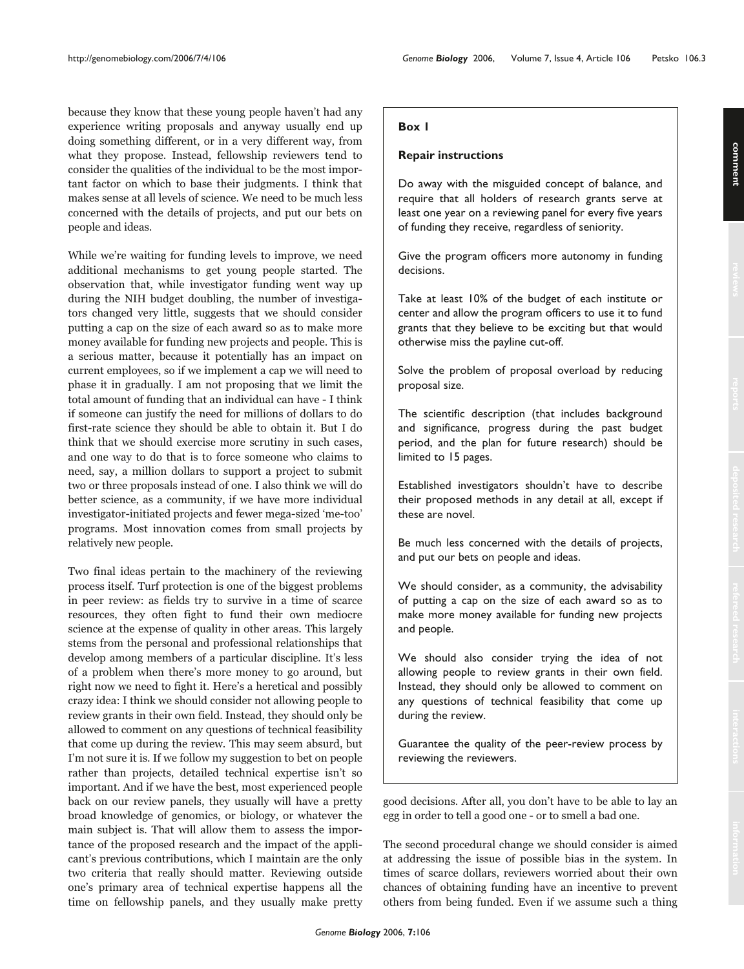because they know that these young people haven't had any experience writing proposals and anyway usually end up doing something different, or in a very different way, from what they propose. Instead, fellowship reviewers tend to consider the qualities of the individual to be the most important factor on which to base their judgments. I think that makes sense at all levels of science. We need to be much less concerned with the details of projects, and put our bets on people and ideas.

While we're waiting for funding levels to improve, we need additional mechanisms to get young people started. The observation that, while investigator funding went way up during the NIH budget doubling, the number of investigators changed very little, suggests that we should consider putting a cap on the size of each award so as to make more money available for funding new projects and people. This is a serious matter, because it potentially has an impact on current employees, so if we implement a cap we will need to phase it in gradually. I am not proposing that we limit the total amount of funding that an individual can have - I think if someone can justify the need for millions of dollars to do first-rate science they should be able to obtain it. But I do think that we should exercise more scrutiny in such cases, and one way to do that is to force someone who claims to need, say, a million dollars to support a project to submit two or three proposals instead of one. I also think we will do better science, as a community, if we have more individual investigator-initiated projects and fewer mega-sized 'me-too' programs. Most innovation comes from small projects by relatively new people.

Two final ideas pertain to the machinery of the reviewing process itself. Turf protection is one of the biggest problems in peer review: as fields try to survive in a time of scarce resources, they often fight to fund their own mediocre science at the expense of quality in other areas. This largely stems from the personal and professional relationships that develop among members of a particular discipline. It's less of a problem when there's more money to go around, but right now we need to fight it. Here's a heretical and possibly crazy idea: I think we should consider not allowing people to review grants in their own field. Instead, they should only be allowed to comment on any questions of technical feasibility that come up during the review. This may seem absurd, but I'm not sure it is. If we follow my suggestion to bet on people rather than projects, detailed technical expertise isn't so important. And if we have the best, most experienced people back on our review panels, they usually will have a pretty broad knowledge of genomics, or biology, or whatever the main subject is. That will allow them to assess the importance of the proposed research and the impact of the applicant's previous contributions, which I maintain are the only two criteria that really should matter. Reviewing outside one's primary area of technical expertise happens all the time on fellowship panels, and they usually make pretty

## **Box 1**

## **Repair instructions**

Do away with the misguided concept of balance, and require that all holders of research grants serve at least one year on a reviewing panel for every five years of funding they receive, regardless of seniority.

Give the program officers more autonomy in funding decisions.

Take at least 10% of the budget of each institute or center and allow the program officers to use it to fund grants that they believe to be exciting but that would otherwise miss the payline cut-off.

Solve the problem of proposal overload by reducing proposal size.

The scientific description (that includes background and significance, progress during the past budget period, and the plan for future research) should be limited to 15 pages.

Established investigators shouldn't have to describe their proposed methods in any detail at all, except if these are novel.

Be much less concerned with the details of projects, and put our bets on people and ideas.

We should consider, as a community, the advisability of putting a cap on the size of each award so as to make more money available for funding new projects and people.

We should also consider trying the idea of not allowing people to review grants in their own field. Instead, they should only be allowed to comment on any questions of technical feasibility that come up during the review.

Guarantee the quality of the peer-review process by reviewing the reviewers.

good decisions. After all, you don't have to be able to lay an egg in order to tell a good one - or to smell a bad one.

The second procedural change we should consider is aimed at addressing the issue of possible bias in the system. In times of scarce dollars, reviewers worried about their own chances of obtaining funding have an incentive to prevent others from being funded. Even if we assume such a thing